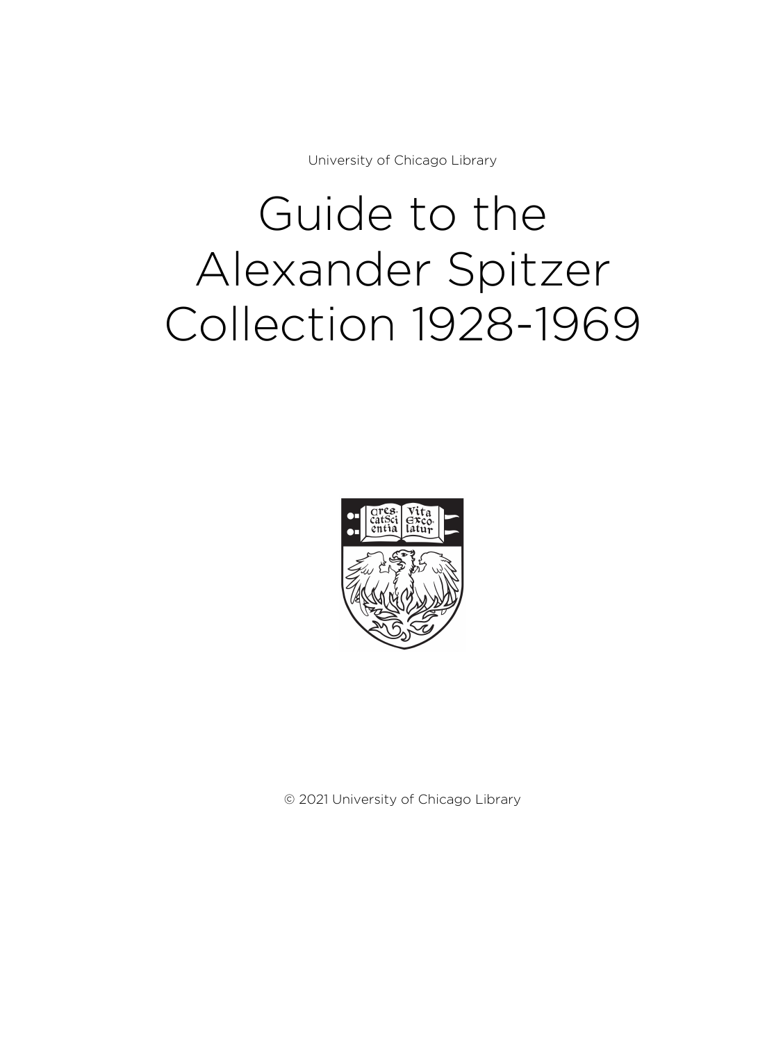University of Chicago Library

# Guide to the Alexander Spitzer Collection 1928-1969



© 2021 University of Chicago Library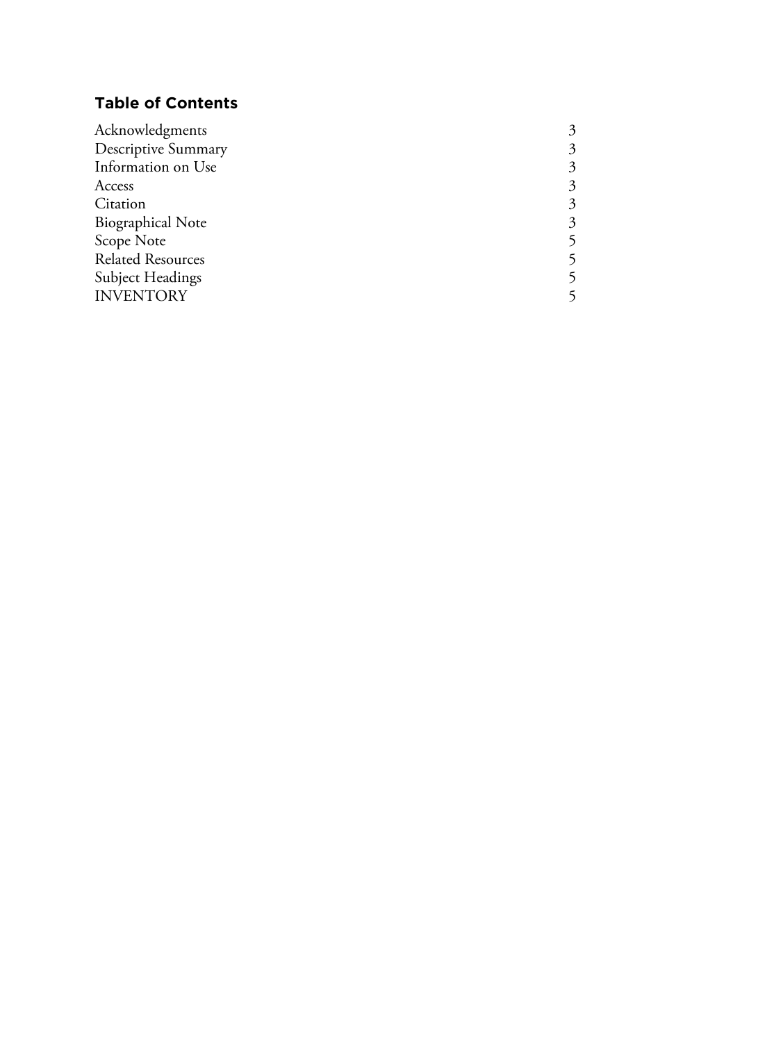# **Table of Contents**

| 3 |
|---|
| 3 |
| 3 |
| 3 |
| 3 |
| 3 |
|   |
|   |
|   |
|   |
|   |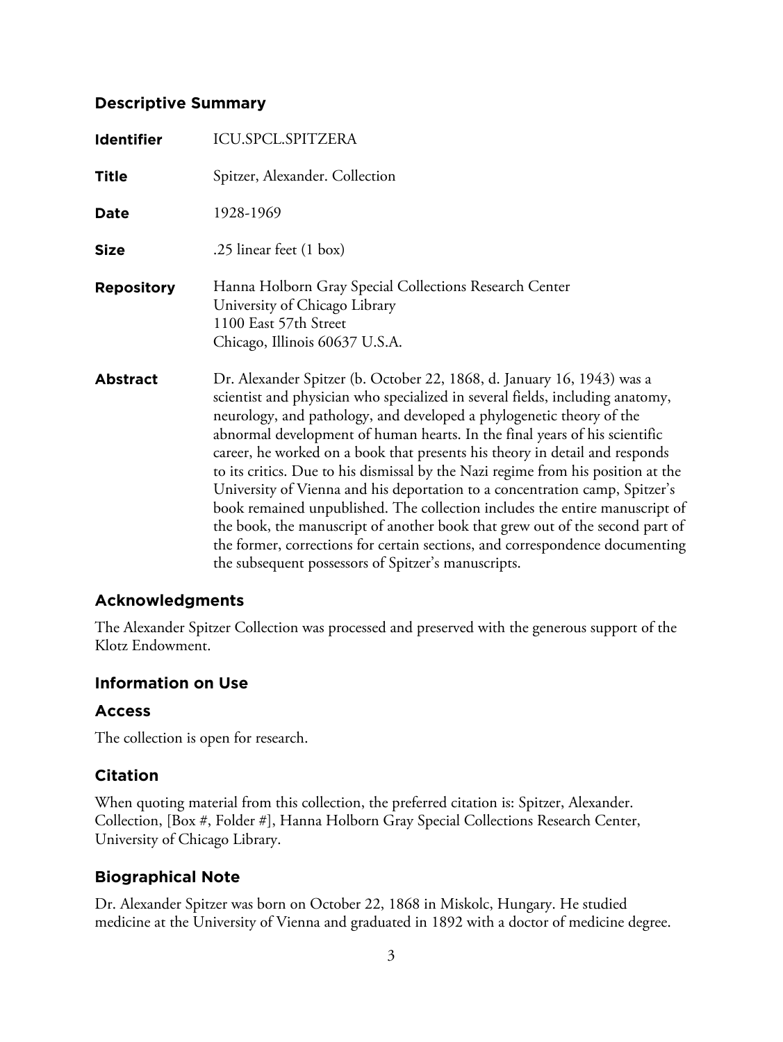## **Descriptive Summary**

| <b>Identifier</b> | <b>ICU.SPCL.SPITZERA</b>                                                                                                                                                                                                                                                                                                                                                                                                                                                                                                                                                                                                                                                                                                                                                                                                                                              |
|-------------------|-----------------------------------------------------------------------------------------------------------------------------------------------------------------------------------------------------------------------------------------------------------------------------------------------------------------------------------------------------------------------------------------------------------------------------------------------------------------------------------------------------------------------------------------------------------------------------------------------------------------------------------------------------------------------------------------------------------------------------------------------------------------------------------------------------------------------------------------------------------------------|
| <b>Title</b>      | Spitzer, Alexander. Collection                                                                                                                                                                                                                                                                                                                                                                                                                                                                                                                                                                                                                                                                                                                                                                                                                                        |
| <b>Date</b>       | 1928-1969                                                                                                                                                                                                                                                                                                                                                                                                                                                                                                                                                                                                                                                                                                                                                                                                                                                             |
| <b>Size</b>       | .25 linear feet (1 box)                                                                                                                                                                                                                                                                                                                                                                                                                                                                                                                                                                                                                                                                                                                                                                                                                                               |
| <b>Repository</b> | Hanna Holborn Gray Special Collections Research Center<br>University of Chicago Library<br>1100 East 57th Street<br>Chicago, Illinois 60637 U.S.A.                                                                                                                                                                                                                                                                                                                                                                                                                                                                                                                                                                                                                                                                                                                    |
| <b>Abstract</b>   | Dr. Alexander Spitzer (b. October 22, 1868, d. January 16, 1943) was a<br>scientist and physician who specialized in several fields, including anatomy,<br>neurology, and pathology, and developed a phylogenetic theory of the<br>abnormal development of human hearts. In the final years of his scientific<br>career, he worked on a book that presents his theory in detail and responds<br>to its critics. Due to his dismissal by the Nazi regime from his position at the<br>University of Vienna and his deportation to a concentration camp, Spitzer's<br>book remained unpublished. The collection includes the entire manuscript of<br>the book, the manuscript of another book that grew out of the second part of<br>the former, corrections for certain sections, and correspondence documenting<br>the subsequent possessors of Spitzer's manuscripts. |

# **Acknowledgments**

The Alexander Spitzer Collection was processed and preserved with the generous support of the Klotz Endowment.

## **Information on Use**

# **Access**

The collection is open for research.

# **Citation**

When quoting material from this collection, the preferred citation is: Spitzer, Alexander. Collection, [Box #, Folder #], Hanna Holborn Gray Special Collections Research Center, University of Chicago Library.

# **Biographical Note**

Dr. Alexander Spitzer was born on October 22, 1868 in Miskolc, Hungary. He studied medicine at the University of Vienna and graduated in 1892 with a doctor of medicine degree.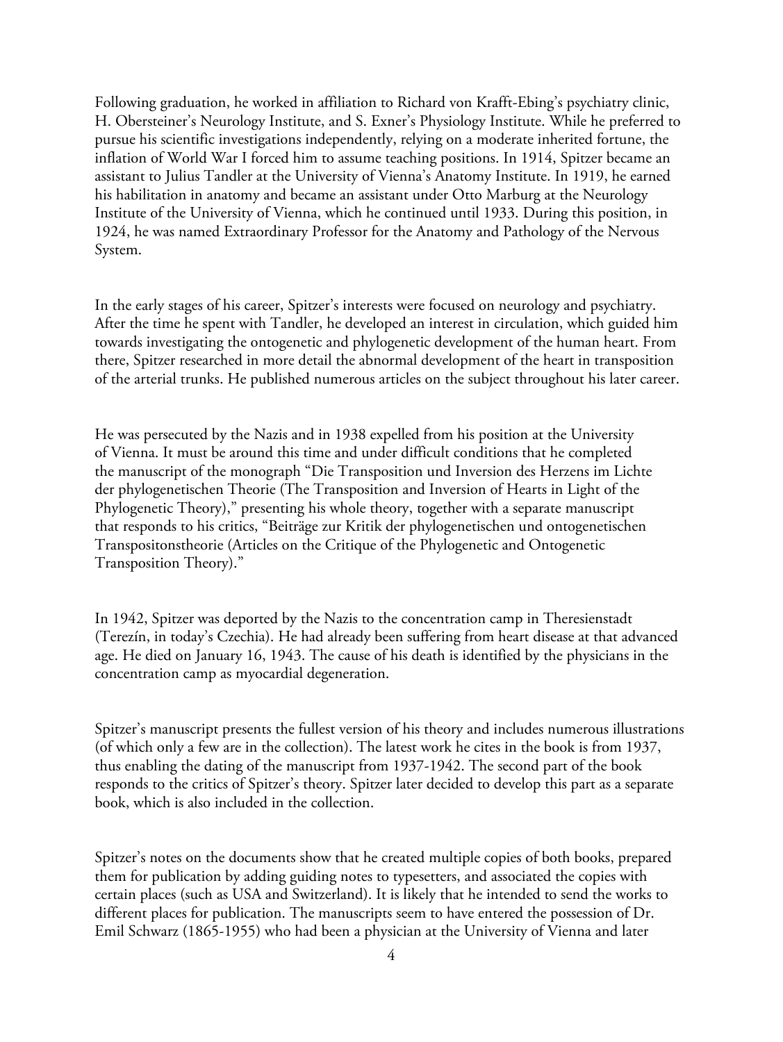Following graduation, he worked in affiliation to Richard von Krafft-Ebing's psychiatry clinic, H. Obersteiner's Neurology Institute, and S. Exner's Physiology Institute. While he preferred to pursue his scientific investigations independently, relying on a moderate inherited fortune, the inflation of World War I forced him to assume teaching positions. In 1914, Spitzer became an assistant to Julius Tandler at the University of Vienna's Anatomy Institute. In 1919, he earned his habilitation in anatomy and became an assistant under Otto Marburg at the Neurology Institute of the University of Vienna, which he continued until 1933. During this position, in 1924, he was named Extraordinary Professor for the Anatomy and Pathology of the Nervous System.

In the early stages of his career, Spitzer's interests were focused on neurology and psychiatry. After the time he spent with Tandler, he developed an interest in circulation, which guided him towards investigating the ontogenetic and phylogenetic development of the human heart. From there, Spitzer researched in more detail the abnormal development of the heart in transposition of the arterial trunks. He published numerous articles on the subject throughout his later career.

He was persecuted by the Nazis and in 1938 expelled from his position at the University of Vienna. It must be around this time and under difficult conditions that he completed the manuscript of the monograph "Die Transposition und Inversion des Herzens im Lichte der phylogenetischen Theorie (The Transposition and Inversion of Hearts in Light of the Phylogenetic Theory)," presenting his whole theory, together with a separate manuscript that responds to his critics, "Beiträge zur Kritik der phylogenetischen und ontogenetischen Transpositonstheorie (Articles on the Critique of the Phylogenetic and Ontogenetic Transposition Theory)."

In 1942, Spitzer was deported by the Nazis to the concentration camp in Theresienstadt (Terezín, in today's Czechia). He had already been suffering from heart disease at that advanced age. He died on January 16, 1943. The cause of his death is identified by the physicians in the concentration camp as myocardial degeneration.

Spitzer's manuscript presents the fullest version of his theory and includes numerous illustrations (of which only a few are in the collection). The latest work he cites in the book is from 1937, thus enabling the dating of the manuscript from 1937-1942. The second part of the book responds to the critics of Spitzer's theory. Spitzer later decided to develop this part as a separate book, which is also included in the collection.

Spitzer's notes on the documents show that he created multiple copies of both books, prepared them for publication by adding guiding notes to typesetters, and associated the copies with certain places (such as USA and Switzerland). It is likely that he intended to send the works to different places for publication. The manuscripts seem to have entered the possession of Dr. Emil Schwarz (1865-1955) who had been a physician at the University of Vienna and later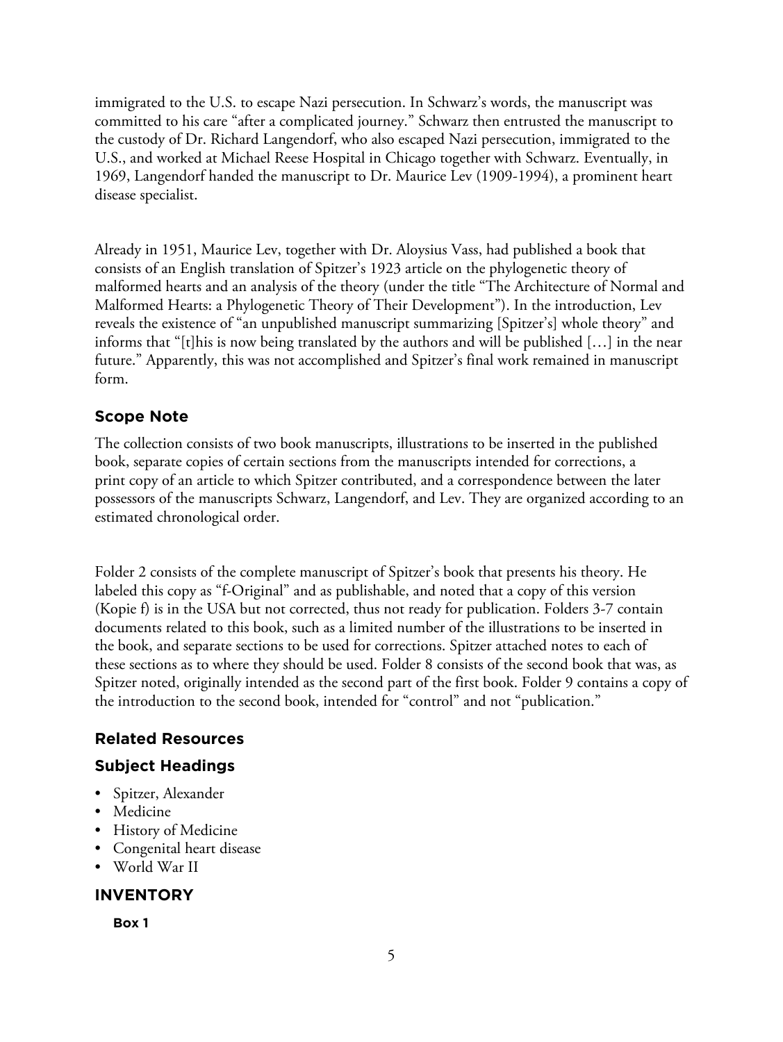immigrated to the U.S. to escape Nazi persecution. In Schwarz's words, the manuscript was committed to his care "after a complicated journey." Schwarz then entrusted the manuscript to the custody of Dr. Richard Langendorf, who also escaped Nazi persecution, immigrated to the U.S., and worked at Michael Reese Hospital in Chicago together with Schwarz. Eventually, in 1969, Langendorf handed the manuscript to Dr. Maurice Lev (1909-1994), a prominent heart disease specialist.

Already in 1951, Maurice Lev, together with Dr. Aloysius Vass, had published a book that consists of an English translation of Spitzer's 1923 article on the phylogenetic theory of malformed hearts and an analysis of the theory (under the title "The Architecture of Normal and Malformed Hearts: a Phylogenetic Theory of Their Development"). In the introduction, Lev reveals the existence of "an unpublished manuscript summarizing [Spitzer's] whole theory" and informs that "[t]his is now being translated by the authors and will be published […] in the near future." Apparently, this was not accomplished and Spitzer's final work remained in manuscript form.

# **Scope Note**

The collection consists of two book manuscripts, illustrations to be inserted in the published book, separate copies of certain sections from the manuscripts intended for corrections, a print copy of an article to which Spitzer contributed, and a correspondence between the later possessors of the manuscripts Schwarz, Langendorf, and Lev. They are organized according to an estimated chronological order.

Folder 2 consists of the complete manuscript of Spitzer's book that presents his theory. He labeled this copy as "f-Original" and as publishable, and noted that a copy of this version (Kopie f) is in the USA but not corrected, thus not ready for publication. Folders 3-7 contain documents related to this book, such as a limited number of the illustrations to be inserted in the book, and separate sections to be used for corrections. Spitzer attached notes to each of these sections as to where they should be used. Folder 8 consists of the second book that was, as Spitzer noted, originally intended as the second part of the first book. Folder 9 contains a copy of the introduction to the second book, intended for "control" and not "publication."

# **Related Resources**

# **Subject Headings**

- Spitzer, Alexander
- Medicine
- History of Medicine
- Congenital heart disease
- World War II

# **INVENTORY**

**Box 1**